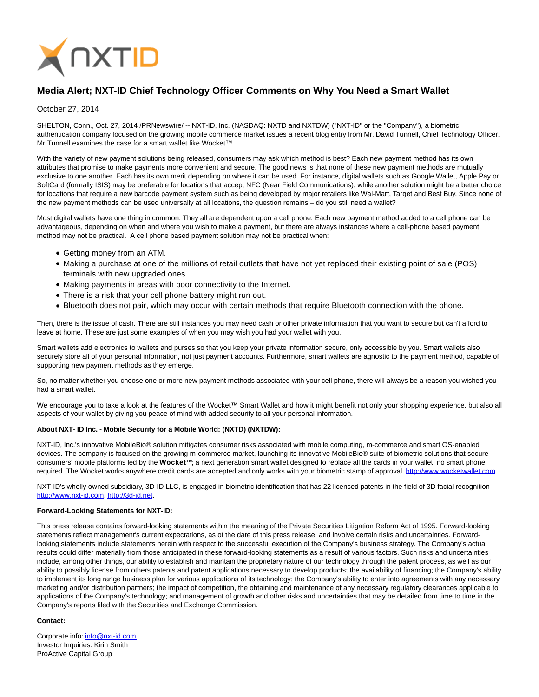

# **Media Alert; NXT-ID Chief Technology Officer Comments on Why You Need a Smart Wallet**

## October 27, 2014

SHELTON, Conn., Oct. 27, 2014 /PRNewswire/ -- NXT-ID, Inc. (NASDAQ: NXTD and NXTDW) ("NXT-ID" or the "Company"), a biometric authentication company focused on the growing mobile commerce market issues a recent blog entry from Mr. David Tunnell, Chief Technology Officer. Mr Tunnell examines the case for a smart wallet like Wocket™.

With the variety of new payment solutions being released, consumers may ask which method is best? Each new payment method has its own attributes that promise to make payments more convenient and secure. The good news is that none of these new payment methods are mutually exclusive to one another. Each has its own merit depending on where it can be used. For instance, digital wallets such as Google Wallet, Apple Pay or SoftCard (formally ISIS) may be preferable for locations that accept NFC (Near Field Communications), while another solution might be a better choice for locations that require a new barcode payment system such as being developed by major retailers like Wal-Mart, Target and Best Buy. Since none of the new payment methods can be used universally at all locations, the question remains – do you still need a wallet?

Most digital wallets have one thing in common: They all are dependent upon a cell phone. Each new payment method added to a cell phone can be advantageous, depending on when and where you wish to make a payment, but there are always instances where a cell-phone based payment method may not be practical. A cell phone based payment solution may not be practical when:

- Getting money from an ATM.
- Making a purchase at one of the millions of retail outlets that have not yet replaced their existing point of sale (POS) terminals with new upgraded ones.
- Making payments in areas with poor connectivity to the Internet.
- There is a risk that your cell phone battery might run out.
- Bluetooth does not pair, which may occur with certain methods that require Bluetooth connection with the phone.

Then, there is the issue of cash. There are still instances you may need cash or other private information that you want to secure but can't afford to leave at home. These are just some examples of when you may wish you had your wallet with you.

Smart wallets add electronics to wallets and purses so that you keep your private information secure, only accessible by you. Smart wallets also securely store all of your personal information, not just payment accounts. Furthermore, smart wallets are agnostic to the payment method, capable of supporting new payment methods as they emerge.

So, no matter whether you choose one or more new payment methods associated with your cell phone, there will always be a reason you wished you had a smart wallet.

We encourage you to take a look at the features of the Wocket™ Smart Wallet and how it might benefit not only your shopping experience, but also all aspects of your wallet by giving you peace of mind with added security to all your personal information.

## **About NXT- ID Inc. - Mobile Security for a Mobile World: (NXTD) (NXTDW):**

NXT-ID, Inc.'s innovative MobileBio® solution mitigates consumer risks associated with mobile computing, m-commerce and smart OS-enabled devices. The company is focused on the growing m-commerce market, launching its innovative MobileBio® suite of biometric solutions that secure consumers' mobile platforms led by the **Wocket™**; a next generation smart wallet designed to replace all the cards in your wallet, no smart phone required. The Wocket works anywhere credit cards are accepted and only works with your biometric stamp of approval[. http://www.wocketwallet.com](http://www.wocketwallet.com/)

NXT-ID's wholly owned subsidiary, 3D-ID LLC, is engaged in biometric identification that has 22 licensed patents in the field of 3D facial recognition [http://www.nxt-id.com,](http://www.nxt-id.com/) [http://3d-id.net.](http://3d-id.net/)

### **Forward-Looking Statements for NXT-ID:**

This press release contains forward-looking statements within the meaning of the Private Securities Litigation Reform Act of 1995. Forward-looking statements reflect management's current expectations, as of the date of this press release, and involve certain risks and uncertainties. Forwardlooking statements include statements herein with respect to the successful execution of the Company's business strategy. The Company's actual results could differ materially from those anticipated in these forward-looking statements as a result of various factors. Such risks and uncertainties include, among other things, our ability to establish and maintain the proprietary nature of our technology through the patent process, as well as our ability to possibly license from others patents and patent applications necessary to develop products; the availability of financing; the Company's ability to implement its long range business plan for various applications of its technology; the Company's ability to enter into agreements with any necessary marketing and/or distribution partners; the impact of competition, the obtaining and maintenance of any necessary regulatory clearances applicable to applications of the Company's technology; and management of growth and other risks and uncertainties that may be detailed from time to time in the Company's reports filed with the Securities and Exchange Commission.

### **Contact:**

Corporate info: [info@nxt-id.com](mailto:info@nxt-id.com) Investor Inquiries: Kirin Smith ProActive Capital Group